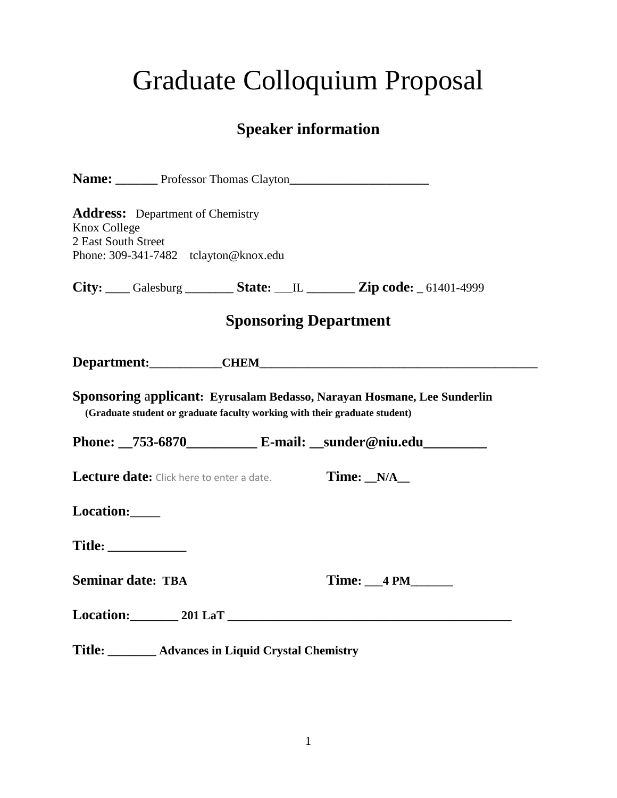# Graduate Colloquium Proposal

## **Speaker information**

|              | Name: Professor Thomas Clayton                                                                                                                        |  |                              |  |
|--------------|-------------------------------------------------------------------------------------------------------------------------------------------------------|--|------------------------------|--|
| Knox College | <b>Address:</b> Department of Chemistry<br>2 East South Street<br>Phone: 309-341-7482 tclayton@knox.edu                                               |  |                              |  |
|              |                                                                                                                                                       |  |                              |  |
|              |                                                                                                                                                       |  | <b>Sponsoring Department</b> |  |
|              |                                                                                                                                                       |  |                              |  |
|              | Sponsoring applicant: Eyrusalam Bedasso, Narayan Hosmane, Lee Sunderlin<br>(Graduate student or graduate faculty working with their graduate student) |  |                              |  |
|              | Phone: 753-6870 E-mail: _sunder@niu.edu                                                                                                               |  |                              |  |
|              | Lecture date: Click here to enter a date.                                                                                                             |  | $Time: N/A$                  |  |
|              | Location:                                                                                                                                             |  |                              |  |
|              |                                                                                                                                                       |  |                              |  |
|              | <b>Seminar date: TBA</b>                                                                                                                              |  | Time: 4 PM                   |  |
|              | Location: 201 LaT                                                                                                                                     |  |                              |  |
|              | Title: ________ Advances in Liquid Crystal Chemistry                                                                                                  |  |                              |  |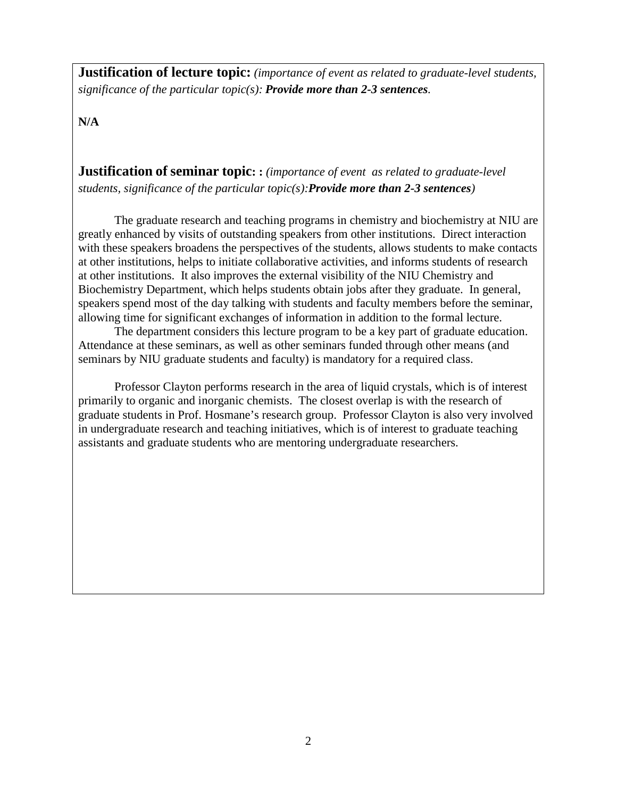**Justification of lecture topic:** *(importance of event as related to graduate-level students, significance of the particular topic(s): Provide more than 2-3 sentences.*

**N/A**

**Justification of seminar topic: :** *(importance of event as related to graduate-level students, significance of the particular topic(s):Provide more than 2-3 sentences)*

The graduate research and teaching programs in chemistry and biochemistry at NIU are greatly enhanced by visits of outstanding speakers from other institutions. Direct interaction with these speakers broadens the perspectives of the students, allows students to make contacts at other institutions, helps to initiate collaborative activities, and informs students of research at other institutions. It also improves the external visibility of the NIU Chemistry and Biochemistry Department, which helps students obtain jobs after they graduate. In general, speakers spend most of the day talking with students and faculty members before the seminar, allowing time for significant exchanges of information in addition to the formal lecture.

The department considers this lecture program to be a key part of graduate education. Attendance at these seminars, as well as other seminars funded through other means (and seminars by NIU graduate students and faculty) is mandatory for a required class.

Professor Clayton performs research in the area of liquid crystals, which is of interest primarily to organic and inorganic chemists. The closest overlap is with the research of graduate students in Prof. Hosmane's research group. Professor Clayton is also very involved in undergraduate research and teaching initiatives, which is of interest to graduate teaching assistants and graduate students who are mentoring undergraduate researchers.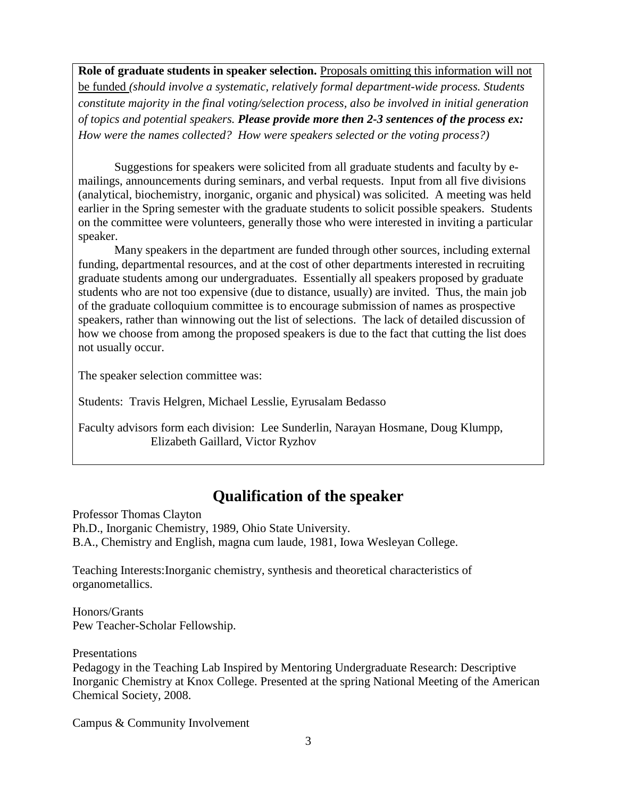**Role of graduate students in speaker selection.** Proposals omitting this information will not

be funded *(should involve a systematic, relatively formal department-wide process. Students constitute majority in the final voting/selection process, also be involved in initial generation of topics and potential speakers. Please provide more then 2-3 sentences of the process ex: How were the names collected? How were speakers selected or the voting process?)*

Suggestions for speakers were solicited from all graduate students and faculty by emailings, announcements during seminars, and verbal requests. Input from all five divisions (analytical, biochemistry, inorganic, organic and physical) was solicited. A meeting was held earlier in the Spring semester with the graduate students to solicit possible speakers. Students on the committee were volunteers, generally those who were interested in inviting a particular speaker.

Many speakers in the department are funded through other sources, including external funding, departmental resources, and at the cost of other departments interested in recruiting graduate students among our undergraduates. Essentially all speakers proposed by graduate students who are not too expensive (due to distance, usually) are invited. Thus, the main job of the graduate colloquium committee is to encourage submission of names as prospective speakers, rather than winnowing out the list of selections. The lack of detailed discussion of how we choose from among the proposed speakers is due to the fact that cutting the list does not usually occur.

The speaker selection committee was:

Students: Travis Helgren, Michael Lesslie, Eyrusalam Bedasso

Faculty advisors form each division: Lee Sunderlin, Narayan Hosmane, Doug Klumpp, Elizabeth Gaillard, Victor Ryzhov

## **Qualification of the speaker**

Professor Thomas Clayton Ph.D., Inorganic Chemistry, 1989, Ohio State University. B.A., Chemistry and English, magna cum laude, 1981, Iowa Wesleyan College.

Teaching Interests:Inorganic chemistry, synthesis and theoretical characteristics of organometallics.

Honors/Grants Pew Teacher-Scholar Fellowship.

Presentations

Pedagogy in the Teaching Lab Inspired by Mentoring Undergraduate Research: Descriptive Inorganic Chemistry at Knox College. Presented at the spring National Meeting of the American Chemical Society, 2008.

Campus & Community Involvement